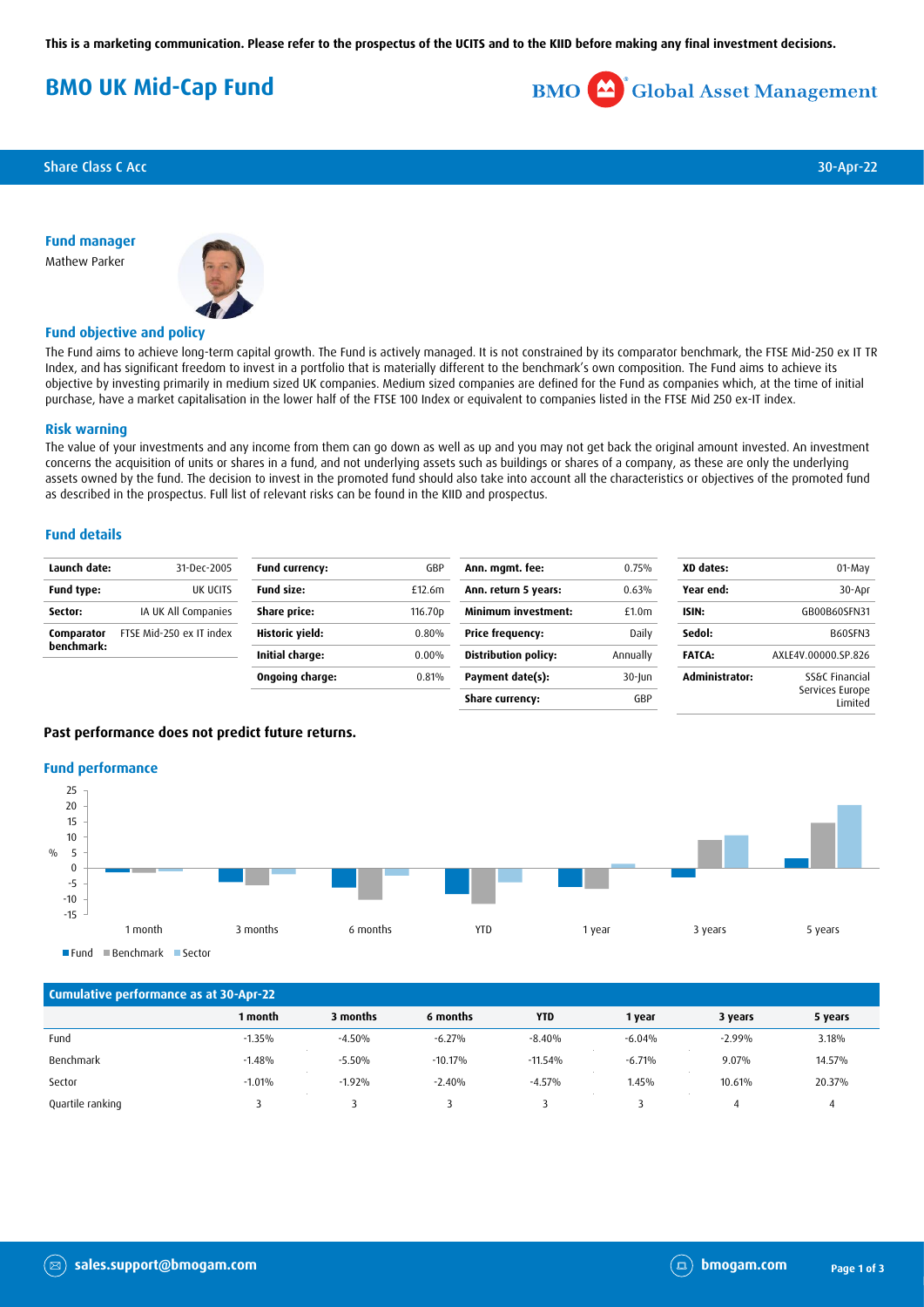**This is a marketing communication. Please refer to the prospectus of the UCITS and to the KIID before making any final investment decisions.**

# **BMO UK Mid-Cap Fund**



**Share Class C Acc** 30-Apr-22

**Fund manager** Mathew Parker



### **Fund objective and policy**

The Fund aims to achieve long-term capital growth. The Fund is actively managed. It is not constrained by its comparator benchmark, the FTSE Mid-250 ex IT TR Index, and has significant freedom to invest in a portfolio that is materially different to the benchmark's own composition. The Fund aims to achieve its objective by investing primarily in medium sized UK companies. Medium sized companies are defined for the Fund as companies which, at the time of initial purchase, have a market capitalisation in the lower half of the FTSE 100 Index or equivalent to companies listed in the FTSE Mid 250 ex-IT index.

#### **Risk warning**

The value of your investments and any income from them can go down as well as up and you may not get back the original amount invested. An investment concerns the acquisition of units or shares in a fund, and not underlying assets such as buildings or shares of a company, as these are only the underlying assets owned by the fund. The decision to invest in the promoted fund should also take into account all the characteristics or objectives of the promoted fund as described in the prospectus. Full list of relevant risks can be found in the KIID and prospectus.

#### **Fund details**

| Launch date:                                   | 31-Dec-2005              | Fund currency:      | GBP                        | Ann. mgmt. fee:             | 0.75%     | XD dates:      | 01-May                     |
|------------------------------------------------|--------------------------|---------------------|----------------------------|-----------------------------|-----------|----------------|----------------------------|
| Fund type:                                     | UK UCITS                 | <b>Fund size:</b>   | £12.6m                     | Ann. return 5 years:        | 0.63%     | Year end:      | 30-Apr                     |
| IA UK All Companies<br>Share price:<br>Sector: |                          | 116.70 <sub>p</sub> | <b>Minimum investment:</b> | £1.0 <sub>m</sub>           | ISIN:     | GB00B60SFN31   |                            |
| Comparator<br>benchmark:                       | FTSE Mid-250 ex IT index | Historic yield:     | 0.80%                      | <b>Price frequency:</b>     | Daily     | Sedol:         | B60SFN3                    |
|                                                |                          | Initial charge:     | $0.00\%$                   | <b>Distribution policy:</b> | Annually  | <b>FATCA:</b>  | AXLE4V.00000.SP.826        |
|                                                |                          | Ongoing charge:     | 0.81%                      | Payment date(s):            | $30$ -Jun | Administrator: | SS&C Financial             |
|                                                |                          |                     |                            | Share currency:             | GBP       |                | Services Europe<br>Limited |

#### **Past performance does not predict future returns.**

#### **Fund performance**



Fund Benchmark Sector

| Cumulative performance as at 30-Apr-22 |          |          |           |            |          |          |         |
|----------------------------------------|----------|----------|-----------|------------|----------|----------|---------|
|                                        | 1 month  | 3 months | 6 months  | <b>YTD</b> | 1 year   | 3 years  | 5 years |
| Fund                                   | $-1.35%$ | $-4.50%$ | $-6.27%$  | $-8.40%$   | $-6.04%$ | $-2.99%$ | 3.18%   |
| Benchmark                              | $-1.48%$ | $-5.50%$ | $-10.17%$ | $-11.54%$  | $-6.71%$ | 9.07%    | 14.57%  |
| Sector                                 | $-1.01%$ | $-1.92%$ | $-2.40%$  | $-4.57%$   | 1.45%    | 10.61%   | 20.37%  |
| Quartile ranking                       |          |          |           |            |          |          |         |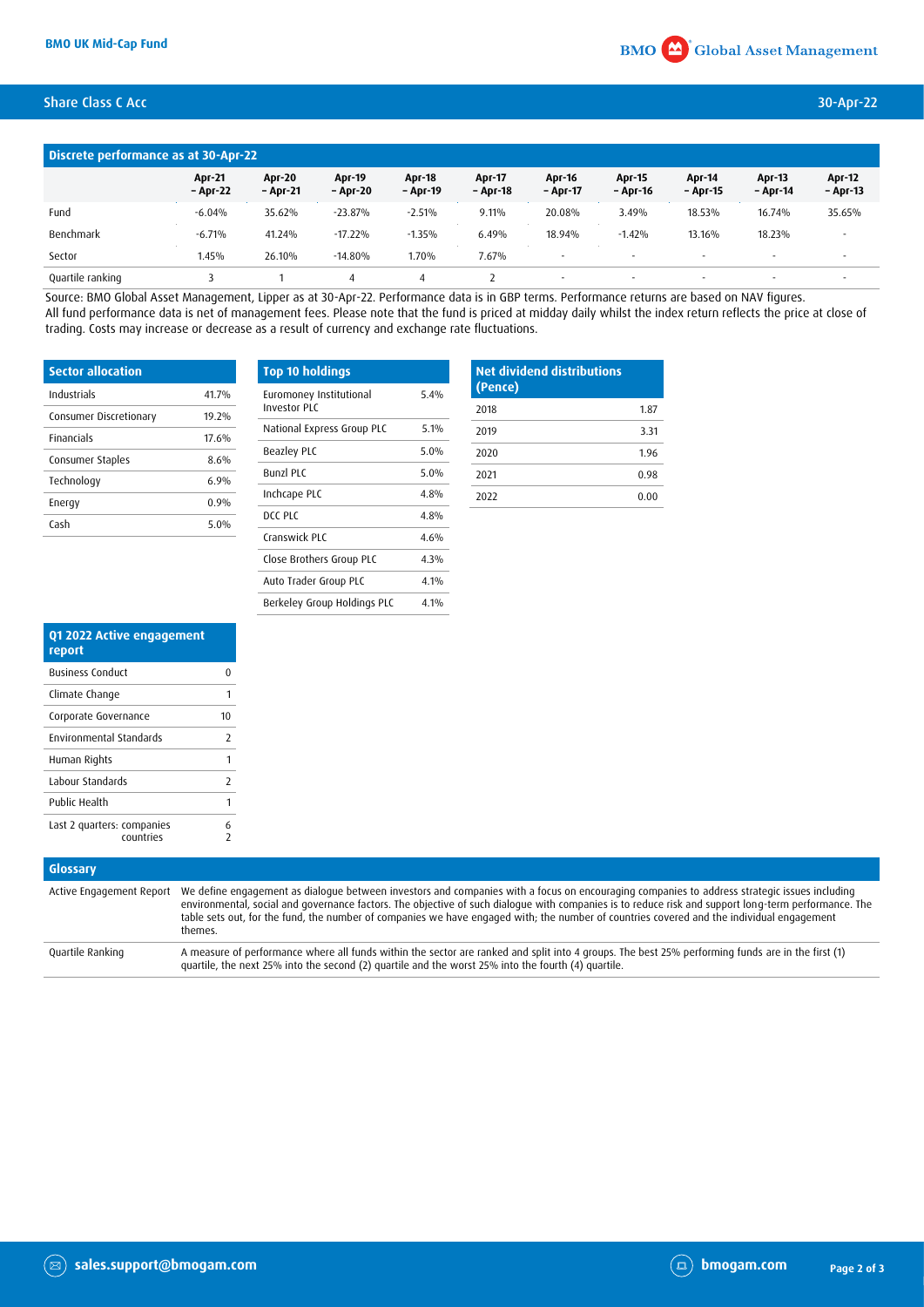## Share Class C Acc 30-Apr-22

| Discrete performance as at 30-Apr-22 |                           |                    |                           |                           |                           |                           |                           |                           |                           |                           |
|--------------------------------------|---------------------------|--------------------|---------------------------|---------------------------|---------------------------|---------------------------|---------------------------|---------------------------|---------------------------|---------------------------|
|                                      | <b>Apr-21</b><br>- Apr-22 | Apr-20<br>- Apr-21 | <b>Apr-19</b><br>- Apr-20 | <b>Apr-18</b><br>- Apr-19 | <b>Apr-17</b><br>- Apr-18 | <b>Apr-16</b><br>- Apr-17 | <b>Apr-15</b><br>- Apr-16 | <b>Apr-14</b><br>– Apr-15 | <b>Apr-13</b><br>- Apr-14 | <b>Apr-12</b><br>– Apr-13 |
| Fund                                 | $-6.04%$                  | 35.62%             | $-23.87%$                 | $-2.51%$                  | 9.11%                     | 20.08%                    | 3.49%                     | 18.53%                    | 16.74%                    | 35.65%                    |
| Benchmark                            | $-6.71%$                  | 41.24%             | $-17.22%$                 | $-1.35%$                  | 6.49%                     | 18.94%                    | $-1.42%$                  | 13.16%                    | 18.23%                    | $\overline{\phantom{a}}$  |
| Sector                               | 1.45%                     | 26.10%             | $-14.80%$                 | 1.70%                     | 7.67%                     | $\overline{\phantom{a}}$  | $\sim$                    | $\sim$                    | $\overline{\phantom{a}}$  | $\sim$                    |
| Quartile ranking                     |                           |                    | $\overline{A}$            | 4                         |                           |                           | $\overline{\phantom{a}}$  | $\overline{\phantom{a}}$  | $\overline{\phantom{a}}$  |                           |

Source: BMO Global Asset Management, Lipper as at 30-Apr-22. Performance data is in GBP terms. Performance returns are based on NAV figures. All fund performance data is net of management fees. Please note that the fund is priced at midday daily whilst the index return reflects the price at close of trading. Costs may increase or decrease as a result of currency and exchange rate fluctuations.

| <b>Sector allocation</b> |       |  |  |
|--------------------------|-------|--|--|
| Industrials              | 41.7% |  |  |
| Consumer Discretionary   | 19 2% |  |  |
| <b>Financials</b>        | 17.6% |  |  |
| Consumer Staples         | 8.6%  |  |  |
| Technology               | 6.9%  |  |  |
| Energy                   | 0.9%  |  |  |
| Cash                     | 5.0%  |  |  |

| <b>Top 10 holdings</b>                         |      |
|------------------------------------------------|------|
| Euromoney Institutional<br><b>Investor PLC</b> | 5.4% |
| National Express Group PLC                     | 5.1% |
| <b>Beazley PLC</b>                             | 5.0% |
| <b>Bunzl PLC</b>                               | 5.0% |
| Inchcape PLC                                   | 4 8% |
| DCC PLC                                        | 4.8% |
| Cranswick PLC                                  | 4 6% |
| Close Brothers Group PLC                       | 4.3% |
| Auto Trader Group PLC                          | 4.1% |
| Berkeley Group Holdings PLC                    | 4 1% |

| <b>Net dividend distributions</b><br>(Pence) |      |  |  |
|----------------------------------------------|------|--|--|
| 2018                                         | 1.87 |  |  |
| 2019                                         | 3.31 |  |  |
| 2020                                         | 1.96 |  |  |
| 2021                                         | 0.98 |  |  |
| 2022                                         | 0.00 |  |  |

| Q1 2022 Active engagement<br>report     |        |
|-----------------------------------------|--------|
| <b>Business Conduct</b>                 | Ω      |
| Climate Change                          | 1      |
| Corporate Governance                    | 10     |
| <b>Environmental Standards</b>          | 7      |
| Human Rights                            | 1      |
| Labour Standards                        | 7      |
| Public Health                           | 1      |
| Last 2 quarters: companies<br>countries | 6<br>7 |

## **Glossary**

|                  | Active Engagement Report We define engagement as dialogue between investors and companies with a focus on encouraging companies to address strategic issues including<br>environmental, social and governance factors. The objective of such dialogue with companies is to reduce risk and support long-term performance. The<br>table sets out, for the fund, the number of companies we have engaged with; the number of countries covered and the individual engagement<br>themes. |
|------------------|---------------------------------------------------------------------------------------------------------------------------------------------------------------------------------------------------------------------------------------------------------------------------------------------------------------------------------------------------------------------------------------------------------------------------------------------------------------------------------------|
| Quartile Ranking | A measure of performance where all funds within the sector are ranked and split into 4 groups. The best 25% performing funds are in the first (1)<br>quartile, the next 25% into the second (2) quartile and the worst 25% into the fourth (4) quartile.                                                                                                                                                                                                                              |